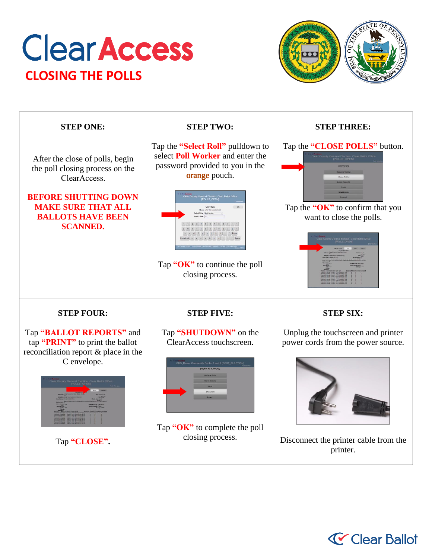## **Clear Access CLOSING THE POLLS**



| <b>STEP ONE:</b>                                                                                                                               | <b>STEP TWO:</b>                                                                                                                 | <b>STEP THREE:</b>                                                       |
|------------------------------------------------------------------------------------------------------------------------------------------------|----------------------------------------------------------------------------------------------------------------------------------|--------------------------------------------------------------------------|
| After the close of polls, begin<br>the poll closing process on the<br>ClearAccess.<br><b>BEFORE SHUTTING DOWN</b><br><b>MAKE SURE THAT ALL</b> | Tap the "Select Roll" pulldown to<br>select <b>Poll Worker</b> and enter the<br>password provided to you in the<br>orange pouch. | Tap the "CLOSE POLLS" button.<br>Tap the " $OK$ " to confirm that you    |
| <b>BALLOTS HAVE BEEN</b><br><b>SCANNED.</b>                                                                                                    | Tap " $OK$ " to continue the poll<br>closing process.                                                                            | want to close the polls.                                                 |
| <b>STEP FOUR:</b>                                                                                                                              | <b>STEP FIVE:</b>                                                                                                                | <b>STEP SIX:</b>                                                         |
| Tap "BALLOT REPORTS" and<br>tap "PRINT" to print the ballot<br>reconciliation report & place in the<br>C envelope.                             | Tap "SHUTDOWN" on the<br>ClearAccess touchscreen.<br>ty Center 1 and 2 IPOST ELECTIO<br>POST ELECTION                            | Unplug the touchscreen and printer<br>power cords from the power source. |
| Tap "CLOSE".                                                                                                                                   | Tap "OK" to complete the poll<br>closing process.                                                                                | Disconnect the printer cable from the<br>printer.                        |

## **V** Clear Ballot